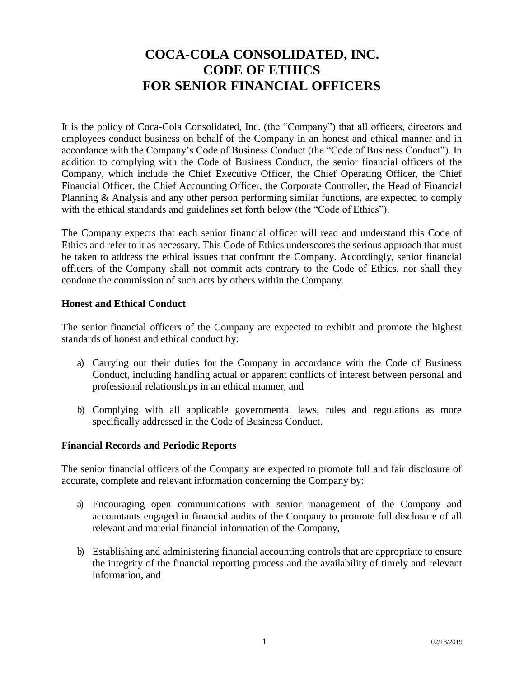# **COCA-COLA CONSOLIDATED, INC. CODE OF ETHICS FOR SENIOR FINANCIAL OFFICERS**

It is the policy of Coca-Cola Consolidated, Inc. (the "Company") that all officers, directors and employees conduct business on behalf of the Company in an honest and ethical manner and in accordance with the Company's Code of Business Conduct (the "Code of Business Conduct"). In addition to complying with the Code of Business Conduct, the senior financial officers of the Company, which include the Chief Executive Officer, the Chief Operating Officer, the Chief Financial Officer, the Chief Accounting Officer, the Corporate Controller, the Head of Financial Planning & Analysis and any other person performing similar functions, are expected to comply with the ethical standards and guidelines set forth below (the "Code of Ethics").

The Company expects that each senior financial officer will read and understand this Code of Ethics and refer to it as necessary. This Code of Ethics underscores the serious approach that must be taken to address the ethical issues that confront the Company. Accordingly, senior financial officers of the Company shall not commit acts contrary to the Code of Ethics, nor shall they condone the commission of such acts by others within the Company.

#### **Honest and Ethical Conduct**

The senior financial officers of the Company are expected to exhibit and promote the highest standards of honest and ethical conduct by:

- a) Carrying out their duties for the Company in accordance with the Code of Business Conduct, including handling actual or apparent conflicts of interest between personal and professional relationships in an ethical manner, and
- b) Complying with all applicable governmental laws, rules and regulations as more specifically addressed in the Code of Business Conduct.

#### **Financial Records and Periodic Reports**

The senior financial officers of the Company are expected to promote full and fair disclosure of accurate, complete and relevant information concerning the Company by:

- a) Encouraging open communications with senior management of the Company and accountants engaged in financial audits of the Company to promote full disclosure of all relevant and material financial information of the Company,
- b) Establishing and administering financial accounting controls that are appropriate to ensure the integrity of the financial reporting process and the availability of timely and relevant information, and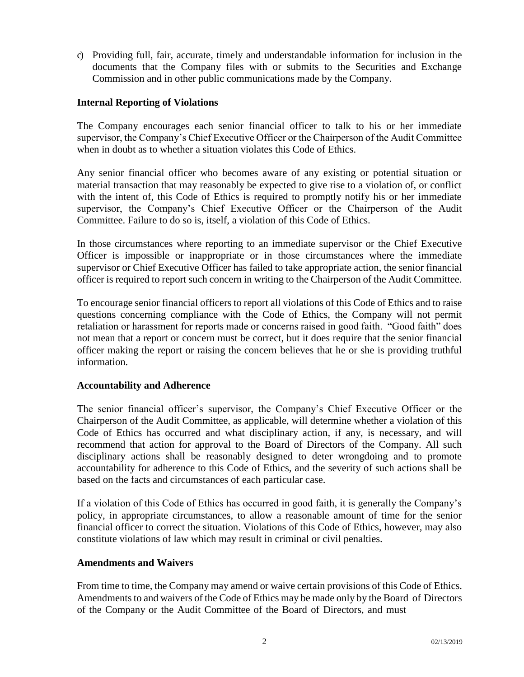c) Providing full, fair, accurate, timely and understandable information for inclusion in the documents that the Company files with or submits to the Securities and Exchange Commission and in other public communications made by the Company.

#### **Internal Reporting of Violations**

The Company encourages each senior financial officer to talk to his or her immediate supervisor, the Company's Chief Executive Officer or the Chairperson of the Audit Committee when in doubt as to whether a situation violates this Code of Ethics.

Any senior financial officer who becomes aware of any existing or potential situation or material transaction that may reasonably be expected to give rise to a violation of, or conflict with the intent of, this Code of Ethics is required to promptly notify his or her immediate supervisor, the Company's Chief Executive Officer or the Chairperson of the Audit Committee. Failure to do so is, itself, a violation of this Code of Ethics.

In those circumstances where reporting to an immediate supervisor or the Chief Executive Officer is impossible or inappropriate or in those circumstances where the immediate supervisor or Chief Executive Officer has failed to take appropriate action, the senior financial officer is required to report such concern in writing to the Chairperson of the Audit Committee.

To encourage senior financial officers to report all violations of this Code of Ethics and to raise questions concerning compliance with the Code of Ethics, the Company will not permit retaliation or harassment for reports made or concerns raised in good faith. "Good faith" does not mean that a report or concern must be correct, but it does require that the senior financial officer making the report or raising the concern believes that he or she is providing truthful information.

### **Accountability and Adherence**

The senior financial officer's supervisor, the Company's Chief Executive Officer or the Chairperson of the Audit Committee, as applicable, will determine whether a violation of this Code of Ethics has occurred and what disciplinary action, if any, is necessary, and will recommend that action for approval to the Board of Directors of the Company. All such disciplinary actions shall be reasonably designed to deter wrongdoing and to promote accountability for adherence to this Code of Ethics, and the severity of such actions shall be based on the facts and circumstances of each particular case.

If a violation of this Code of Ethics has occurred in good faith, it is generally the Company's policy, in appropriate circumstances, to allow a reasonable amount of time for the senior financial officer to correct the situation. Violations of this Code of Ethics, however, may also constitute violations of law which may result in criminal or civil penalties.

#### **Amendments and Waivers**

From time to time, the Company may amend or waive certain provisions of this Code of Ethics. Amendments to and waivers of the Code of Ethics may be made only by the Board of Directors of the Company or the Audit Committee of the Board of Directors, and must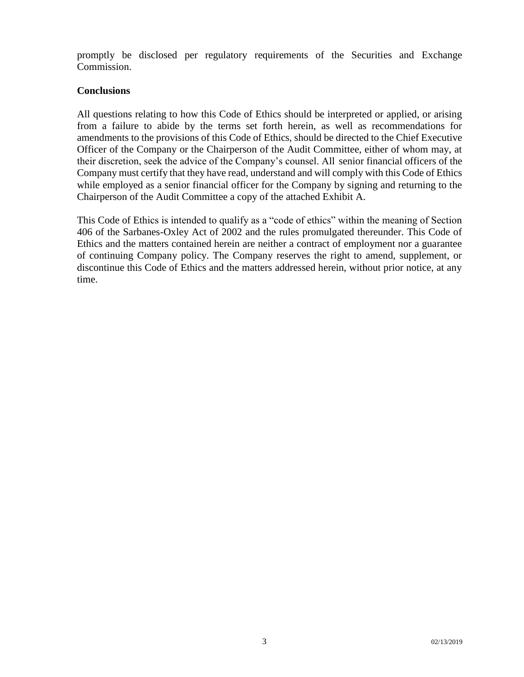promptly be disclosed per regulatory requirements of the Securities and Exchange Commission.

#### **Conclusions**

All questions relating to how this Code of Ethics should be interpreted or applied, or arising from a failure to abide by the terms set forth herein, as well as recommendations for amendments to the provisions of this Code of Ethics, should be directed to the Chief Executive Officer of the Company or the Chairperson of the Audit Committee, either of whom may, at their discretion, seek the advice of the Company's counsel. All senior financial officers of the Company must certify that they have read, understand and will comply with this Code of Ethics while employed as a senior financial officer for the Company by signing and returning to the Chairperson of the Audit Committee a copy of the attached Exhibit A.

This Code of Ethics is intended to qualify as a "code of ethics" within the meaning of Section 406 of the Sarbanes-Oxley Act of 2002 and the rules promulgated thereunder. This Code of Ethics and the matters contained herein are neither a contract of employment nor a guarantee of continuing Company policy. The Company reserves the right to amend, supplement, or discontinue this Code of Ethics and the matters addressed herein, without prior notice, at any time.